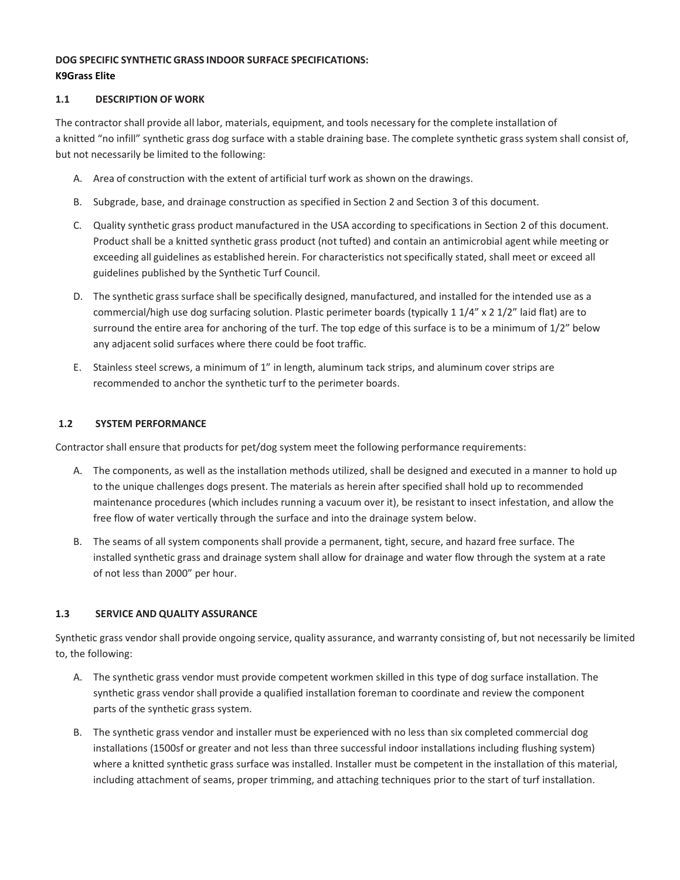# **DOG SPECIFIC SYNTHETIC GRASS INDOOR SURFACE SPECIFICATIONS: K9Grass Elite**

## **1.1 DESCRIPTION OF WORK**

The contractor shall provide all labor, materials, equipment, and tools necessary for the complete installation of a knitted "no infill" synthetic grass dog surface with a stable draining base. The complete synthetic grass system shall consist of, but not necessarily be limited to the following:

- A. Area of construction with the extent of artificial turf work as shown on the drawings.
- B. Subgrade, base, and drainage construction as specified in Section 2 and Section 3 of this document.
- C. Quality synthetic grass product manufactured in the USA according to specifications in Section 2 of this document. Product shall be a knitted synthetic grass product (not tufted) and contain an antimicrobial agent while meeting or exceeding all guidelines as established herein. For characteristics not specifically stated, shall meet or exceed all guidelines published by the Synthetic Turf Council.
- D. The synthetic grass surface shall be specifically designed, manufactured, and installed for the intended use as a commercial/high use dog surfacing solution. Plastic perimeter boards (typically 1 1/4" x 2 1/2" laid flat) are to surround the entire area for anchoring of the turf. The top edge of this surface is to be a minimum of  $1/2$ " below any adjacent solid surfaces where there could be foot traffic.
- E. Stainless steel screws, a minimum of 1" in length, aluminum tack strips, and aluminum cover strips are recommended to anchor the synthetic turf to the perimeter boards.

# **1.2 SYSTEM PERFORMANCE**

Contractor shall ensure that products for pet/dog system meet the following performance requirements:

- A. The components, as well as the installation methods utilized, shall be designed and executed in a manner to hold up to the unique challenges dogs present. The materials as herein after specified shall hold up to recommended maintenance procedures (which includes running a vacuum over it), be resistant to insect infestation, and allow the free flow of water vertically through the surface and into the drainage system below.
- B. The seams of all system components shall provide a permanent, tight, secure, and hazard free surface. The installed synthetic grass and drainage system shall allow for drainage and water flow through the system at a rate of not less than 2000" per hour.

## **1.3 SERVICE AND QUALITY ASSURANCE**

Synthetic grass vendor shall provide ongoing service, quality assurance, and warranty consisting of, but not necessarily be limited to, the following:

- A. The synthetic grass vendor must provide competent workmen skilled in this type of dog surface installation. The synthetic grass vendor shall provide a qualified installation foreman to coordinate and review the component parts of the synthetic grass system.
- B. The synthetic grass vendor and installer must be experienced with no less than six completed commercial dog installations (1500sf or greater and not less than three successful indoor installations including flushing system) where a knitted synthetic grass surface was installed. Installer must be competent in the installation of this material, including attachment of seams, proper trimming, and attaching techniques prior to the start of turf installation.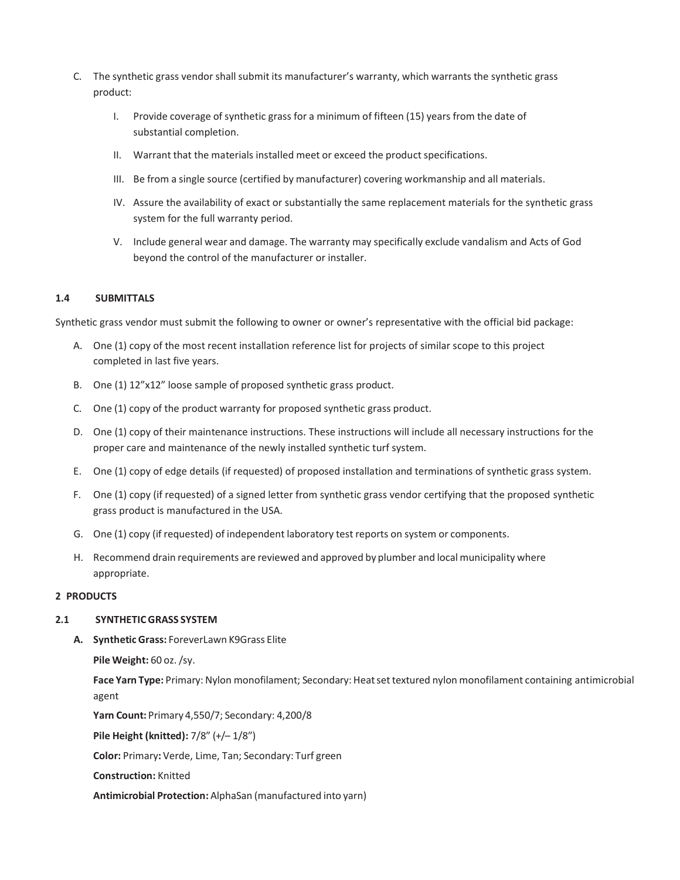- C. The synthetic grass vendor shall submit its manufacturer's warranty, which warrants the synthetic grass product:
	- I. Provide coverage of synthetic grass for a minimum of fifteen (15) years from the date of substantial completion.
	- II. Warrant that the materials installed meet or exceed the product specifications.
	- III. Be from a single source (certified by manufacturer) covering workmanship and all materials.
	- IV. Assure the availability of exact or substantially the same replacement materials for the synthetic grass system for the full warranty period.
	- V. Include general wear and damage. The warranty may specifically exclude vandalism and Acts of God beyond the control of the manufacturer or installer.

## **1.4 SUBMITTALS**

Synthetic grass vendor must submit the following to owner or owner's representative with the official bid package:

- A. One (1) copy of the most recent installation reference list for projects of similar scope to this project completed in last five years.
- B. One (1) 12"x12" loose sample of proposed synthetic grass product.
- C. One (1) copy of the product warranty for proposed synthetic grass product.
- D. One (1) copy of their maintenance instructions. These instructions will include all necessary instructions for the proper care and maintenance of the newly installed synthetic turf system.
- E. One (1) copy of edge details (if requested) of proposed installation and terminations of synthetic grass system.
- F. One (1) copy (if requested) of a signed letter from synthetic grass vendor certifying that the proposed synthetic grass product is manufactured in the USA.
- G. One (1) copy (if requested) of independent laboratory test reports on system or components.
- H. Recommend drain requirements are reviewed and approved by plumber and local municipality where appropriate.

#### **2 PRODUCTS**

#### **2.1 SYNTHETICGRASS SYSTEM**

**A. Synthetic Grass:** ForeverLawn K9Grass Elite

**Pile Weight:** 60 oz./sy.

**Face Yarn Type:** Primary:Nylon monofilament; Secondary: Heatset textured nylon monofilament containing antimicrobial agent

**Yarn Count:** Primary 4,550/7; Secondary: 4,200/8

**Pile Height (knitted):** 7/8" (+/– 1/8")

**Color:** Primary**:** Verde, Lime, Tan; Secondary: Turf green

**Construction:** Knitted

**Antimicrobial Protection:** AlphaSan (manufactured into yarn)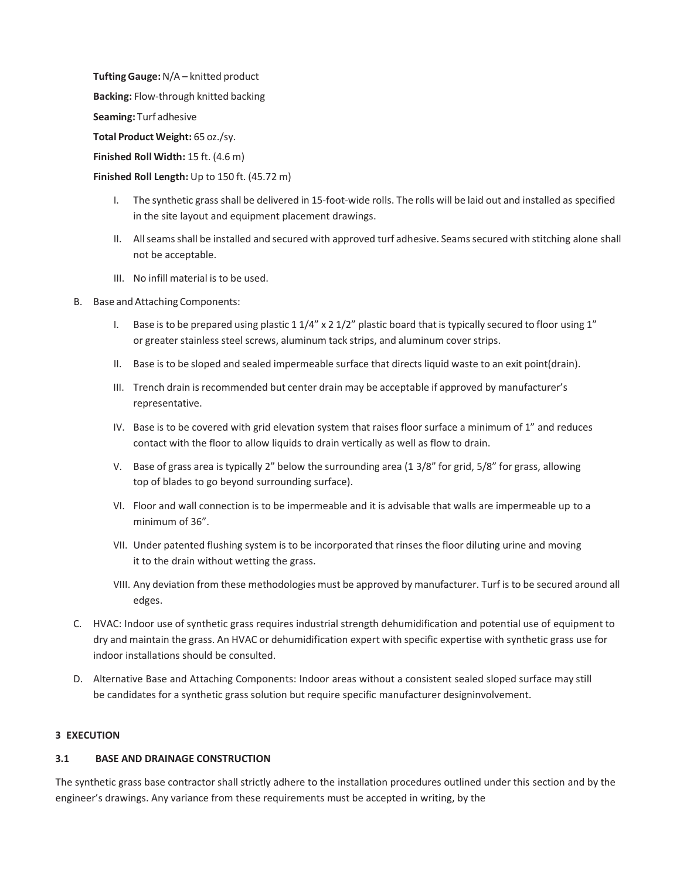**TuftingGauge:**N/A – knitted product

**Backing:** Flow-through knitted backing

**Seaming:** Turf adhesive

**Total Product Weight:** 65 oz./sy.

**Finished Roll Width:** 15 ft. (4.6 m)

## **Finished Roll Length:** Up to 150 ft. (45.72 m)

- I. The synthetic grass shall be delivered in 15-foot-wide rolls. The rolls will be laid out and installed as specified in the site layout and equipment placement drawings.
- II. Allseamsshall be installed and secured with approved turf adhesive. Seamssecured with stitching alone shall not be acceptable.
- III. No infill material is to be used.
- B. Base and Attaching Components:
	- I. Base is to be prepared using plastic  $11/4''$  x  $21/2''$  plastic board that is typically secured to floor using  $1''$ or greater stainless steel screws, aluminum tack strips, and aluminum cover strips.
	- II. Base is to be sloped and sealed impermeable surface that directs liquid waste to an exit point(drain).
	- III. Trench drain is recommended but center drain may be acceptable if approved by manufacturer's representative.
	- IV. Base is to be covered with grid elevation system that raises floor surface a minimum of 1" and reduces contact with the floor to allow liquids to drain vertically as well as flow to drain.
	- V. Base of grass area is typically 2" below the surrounding area (1 3/8" for grid, 5/8" for grass, allowing top of blades to go beyond surrounding surface).
	- VI. Floor and wall connection is to be impermeable and it is advisable that walls are impermeable up to a minimum of 36".
	- VII. Under patented flushing system is to be incorporated that rinses the floor diluting urine and moving it to the drain without wetting the grass.
	- VIII. Any deviation from these methodologies must be approved by manufacturer. Turf is to be secured around all edges.
- C. HVAC: Indoor use of synthetic grass requires industrial strength dehumidification and potential use of equipment to dry and maintain the grass. An HVAC or dehumidification expert with specific expertise with synthetic grass use for indoor installations should be consulted.
- D. Alternative Base and Attaching Components: Indoor areas without a consistent sealed sloped surface may still be candidates for a synthetic grass solution but require specific manufacturer designinvolvement.

## **3 EXECUTION**

## **3.1 BASE AND DRAINAGE CONSTRUCTION**

The synthetic grass base contractor shall strictly adhere to the installation procedures outlined under this section and by the engineer's drawings. Any variance from these requirements must be accepted in writing, by the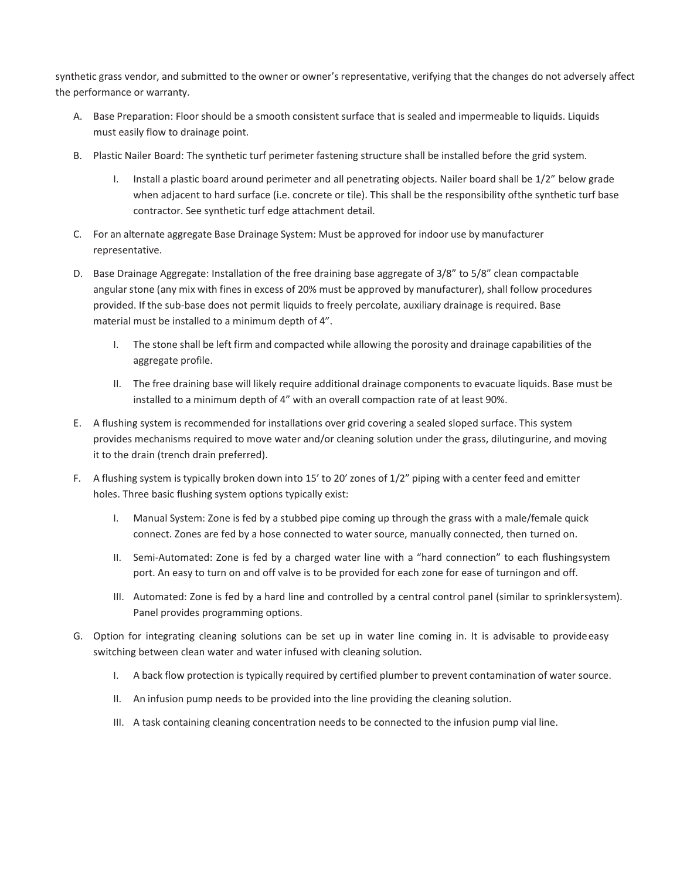synthetic grass vendor, and submitted to the owner or owner's representative, verifying that the changes do not adversely affect the performance or warranty.

- A. Base Preparation: Floor should be a smooth consistent surface that is sealed and impermeable to liquids. Liquids must easily flow to drainage point.
- B. Plastic Nailer Board: The synthetic turf perimeter fastening structure shall be installed before the grid system.
	- I. Install a plastic board around perimeter and all penetrating objects. Nailer board shall be 1/2" below grade when adjacent to hard surface (i.e. concrete or tile). This shall be the responsibility ofthe synthetic turf base contractor. See synthetic turf edge attachment detail.
- C. For an alternate aggregate Base Drainage System: Must be approved for indoor use by manufacturer representative.
- D. Base Drainage Aggregate: Installation of the free draining base aggregate of 3/8" to 5/8" clean compactable angular stone (any mix with fines in excess of 20% must be approved by manufacturer), shall follow procedures provided. If the sub-base does not permit liquids to freely percolate, auxiliary drainage is required. Base material must be installed to a minimum depth of 4".
	- I. The stone shall be left firm and compacted while allowing the porosity and drainage capabilities of the aggregate profile.
	- II. The free draining base will likely require additional drainage components to evacuate liquids. Base must be installed to a minimum depth of 4" with an overall compaction rate of at least 90%.
- E. A flushing system is recommended for installations over grid covering a sealed sloped surface. This system provides mechanisms required to move water and/or cleaning solution under the grass, dilutingurine, and moving it to the drain (trench drain preferred).
- F. A flushing system is typically broken down into 15' to 20' zones of 1/2" piping with a center feed and emitter holes. Three basic flushing system options typically exist:
	- I. Manual System: Zone is fed by a stubbed pipe coming up through the grass with a male/female quick connect. Zones are fed by a hose connected to water source, manually connected, then turned on.
	- II. Semi-Automated: Zone is fed by a charged water line with a "hard connection" to each flushingsystem port. An easy to turn on and off valve is to be provided for each zone for ease of turningon and off.
	- III. Automated: Zone is fed by a hard line and controlled by a central control panel (similar to sprinklersystem). Panel provides programming options.
- G. Option for integrating cleaning solutions can be set up in water line coming in. It is advisable to provideeasy switching between clean water and water infused with cleaning solution.
	- I. A back flow protection is typically required by certified plumber to prevent contamination of water source.
	- II. An infusion pump needs to be provided into the line providing the cleaning solution.
	- III. A task containing cleaning concentration needs to be connected to the infusion pump vial line.